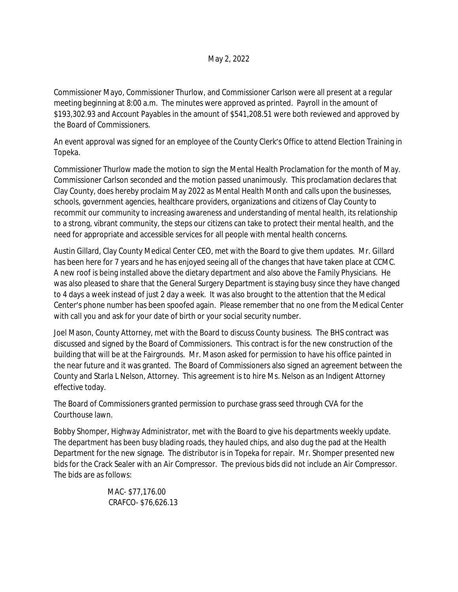Commissioner Mayo, Commissioner Thurlow, and Commissioner Carlson were all present at a regular meeting beginning at 8:00 a.m. The minutes were approved as printed. Payroll in the amount of \$193,302.93 and Account Payables in the amount of \$541,208.51 were both reviewed and approved by the Board of Commissioners.

An event approval was signed for an employee of the County Clerk's Office to attend Election Training in Topeka.

Commissioner Thurlow made the motion to sign the Mental Health Proclamation for the month of May. Commissioner Carlson seconded and the motion passed unanimously. This proclamation declares that Clay County, does hereby proclaim May 2022 as Mental Health Month and calls upon the businesses, schools, government agencies, healthcare providers, organizations and citizens of Clay County to recommit our community to increasing awareness and understanding of mental health, its relationship to a strong, vibrant community, the steps our citizens can take to protect their mental health, and the need for appropriate and accessible services for all people with mental health concerns.

Austin Gillard, Clay County Medical Center CEO, met with the Board to give them updates. Mr. Gillard has been here for 7 years and he has enjoyed seeing all of the changes that have taken place at CCMC. A new roof is being installed above the dietary department and also above the Family Physicians. He was also pleased to share that the General Surgery Department is staying busy since they have changed to 4 days a week instead of just 2 day a week. It was also brought to the attention that the Medical Center's phone number has been spoofed again. Please remember that no one from the Medical Center with call you and ask for your date of birth or your social security number.

Joel Mason, County Attorney, met with the Board to discuss County business. The BHS contract was discussed and signed by the Board of Commissioners. This contract is for the new construction of the building that will be at the Fairgrounds. Mr. Mason asked for permission to have his office painted in the near future and it was granted. The Board of Commissioners also signed an agreement between the County and Starla L Nelson, Attorney. This agreement is to hire Ms. Nelson as an Indigent Attorney effective today.

The Board of Commissioners granted permission to purchase grass seed through CVA for the Courthouse lawn.

Bobby Shomper, Highway Administrator, met with the Board to give his departments weekly update. The department has been busy blading roads, they hauled chips, and also dug the pad at the Health Department for the new signage. The distributor is in Topeka for repair. Mr. Shomper presented new bids for the Crack Sealer with an Air Compressor. The previous bids did not include an Air Compressor. The bids are as follows:

> MAC- \$77,176.00 CRAFCO- \$76,626.13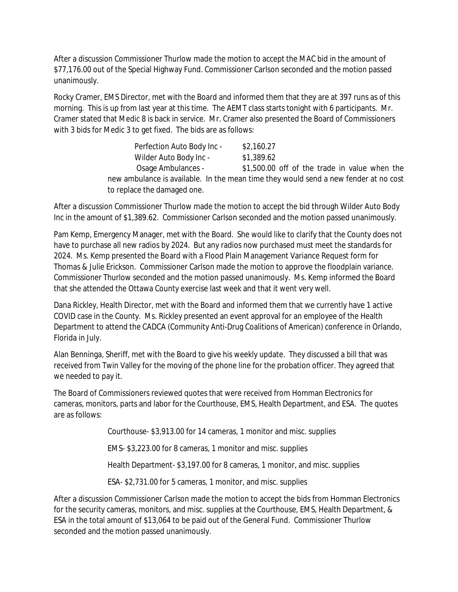After a discussion Commissioner Thurlow made the motion to accept the MAC bid in the amount of \$77,176.00 out of the Special Highway Fund. Commissioner Carlson seconded and the motion passed unanimously.

Rocky Cramer, EMS Director, met with the Board and informed them that they are at 397 runs as of this morning. This is up from last year at this time. The AEMT class starts tonight with 6 participants. Mr. Cramer stated that Medic 8 is back in service. Mr. Cramer also presented the Board of Commissioners with 3 bids for Medic 3 to get fixed. The bids are as follows:

| Perfection Auto Body Inc -  | \$2,160.27                                                                           |
|-----------------------------|--------------------------------------------------------------------------------------|
| Wilder Auto Body Inc -      | \$1,389.62                                                                           |
| Osage Ambulances -          | \$1,500.00 off of the trade in value when the                                        |
|                             | new ambulance is available. In the mean time they would send a new fender at no cost |
| to replace the damaged one. |                                                                                      |

After a discussion Commissioner Thurlow made the motion to accept the bid through Wilder Auto Body Inc in the amount of \$1,389.62. Commissioner Carlson seconded and the motion passed unanimously.

Pam Kemp, Emergency Manager, met with the Board. She would like to clarify that the County does not have to purchase all new radios by 2024. But any radios now purchased must meet the standards for 2024. Ms. Kemp presented the Board with a Flood Plain Management Variance Request form for Thomas & Julie Erickson. Commissioner Carlson made the motion to approve the floodplain variance. Commissioner Thurlow seconded and the motion passed unanimously. Ms. Kemp informed the Board that she attended the Ottawa County exercise last week and that it went very well.

Dana Rickley, Health Director, met with the Board and informed them that we currently have 1 active COVID case in the County. Ms. Rickley presented an event approval for an employee of the Health Department to attend the CADCA (Community Anti-Drug Coalitions of American) conference in Orlando, Florida in July.

Alan Benninga, Sheriff, met with the Board to give his weekly update. They discussed a bill that was received from Twin Valley for the moving of the phone line for the probation officer. They agreed that we needed to pay it.

The Board of Commissioners reviewed quotes that were received from Homman Electronics for cameras, monitors, parts and labor for the Courthouse, EMS, Health Department, and ESA. The quotes are as follows:

Courthouse- \$3,913.00 for 14 cameras, 1 monitor and misc. supplies

EMS- \$3,223.00 for 8 cameras, 1 monitor and misc. supplies

Health Department- \$3,197.00 for 8 cameras, 1 monitor, and misc. supplies

ESA- \$2,731.00 for 5 cameras, 1 monitor, and misc. supplies

After a discussion Commissioner Carlson made the motion to accept the bids from Homman Electronics for the security cameras, monitors, and misc. supplies at the Courthouse, EMS, Health Department, & ESA in the total amount of \$13,064 to be paid out of the General Fund. Commissioner Thurlow seconded and the motion passed unanimously.